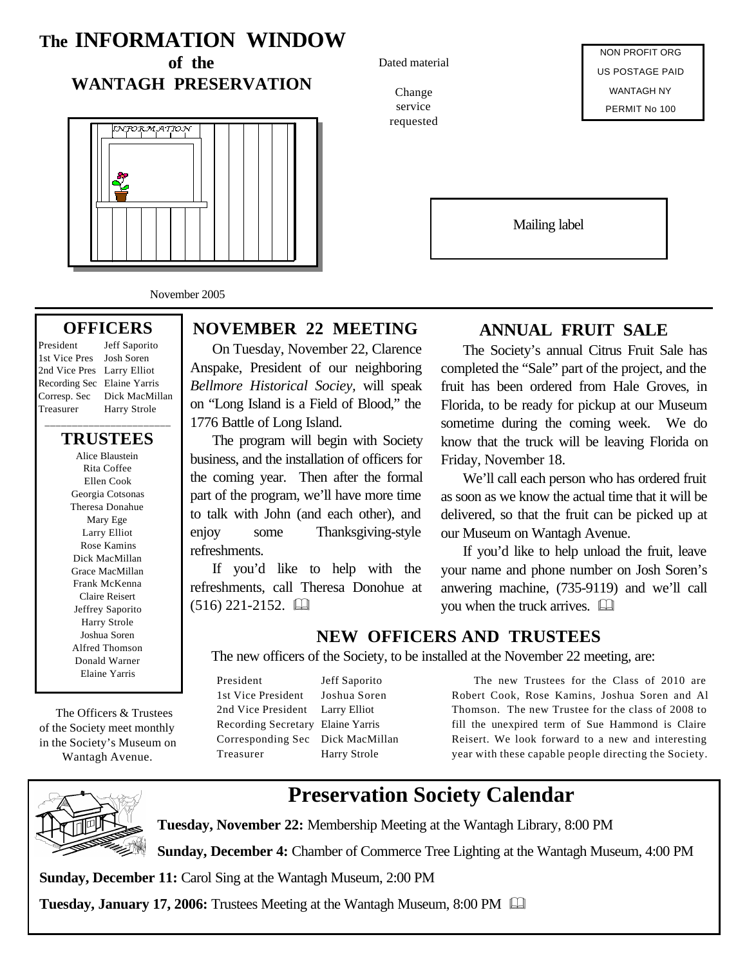# **The INFORMATION WINDOW**

**of the WANTAGH PRESERVATION**



November 2005

#### **OFFICERS**

President Jeff Saporito 1st Vice Pres Josh Soren 2nd Vice Pres Larry Elliot Recording Sec Elaine Yarris Corresp. Sec Dick MacMillan Treasurer Harry Strole

\_\_\_\_\_\_\_\_\_\_\_\_\_\_\_\_\_\_\_\_\_\_\_ **TRUSTEES**

Alice Blaustein Rita Coffee Ellen Cook Georgia Cotsonas Theresa Donahue Mary Ege Larry Elliot Rose Kamins Dick MacMillan Grace MacMillan Frank McKenna Claire Reisert Jeffrey Saporito Harry Strole Joshua Soren Alfred Thomson Donald Warner Elaine Yarris

 The Officers & Trustees of the Society meet monthly in the Society's Museum on Wantagh Avenue.



#### On Tuesday, November 22, Clarence Anspake, President of our neighboring *Bellmore Historical Sociey,* will speak on "Long Island is a Field of Blood," the 1776 Battle of Long Island.

The program will begin with Society business, and the installation of officers for the coming year. Then after the formal part of the program, we'll have more time to talk with John (and each other), and enjoy some Thanksgiving-style refreshments.

If you'd like to help with the refreshments, call Theresa Donohue at  $(516)$  221-2152.  $\Box$ 

#### Dated material

Change service requested

NON PROFIT ORG US POSTAGE PAID WANTAGH NY PERMIT No 100

Mailing label

### **ANNUAL FRUIT SALE**

The Society's annual Citrus Fruit Sale has completed the "Sale" part of the project, and the fruit has been ordered from Hale Groves, in Florida, to be ready for pickup at our Museum sometime during the coming week. We do know that the truck will be leaving Florida on Friday, November 18.

We'll call each person who has ordered fruit as soon as we know the actual time that it will be delivered, so that the fruit can be picked up at our Museum on Wantagh Avenue.

If you'd like to help unload the fruit, leave your name and phone number on Josh Soren's anwering machine, (735-9119) and we'll call you when the truck arrives.  $\Box$ 

### **NEW OFFICERS AND TRUSTEES**

The new officers of the Society, to be installed at the November 22 meeting, are:

President Jeff Saporito 1st Vice President Joshua Soren 2nd Vice President Larry Elliot Recording Secretary Elaine Yarris Corresponding Sec Dick MacMillan Treasurer Harry Strole

The new Trustees for the Class of 2010 are Robert Cook, Rose Kamins, Joshua Soren and Al Thomson. The new Trustee for the class of 2008 to fill the unexpired term of Sue Hammond is Claire Reisert. We look forward to a new and interesting year with these capable people directing the Society.

# **Preservation Society Calendar**

**Tuesday, November 22:** Membership Meeting at the Wantagh Library, 8:00 PM

**Sunday, December 4:** Chamber of Commerce Tree Lighting at the Wantagh Museum, 4:00 PM

**Sunday, December 11:** Carol Sing at the Wantagh Museum, 2:00 PM

**Tuesday, January 17, 2006:** Trustees Meeting at the Wantagh Museum, 8:00 PM &